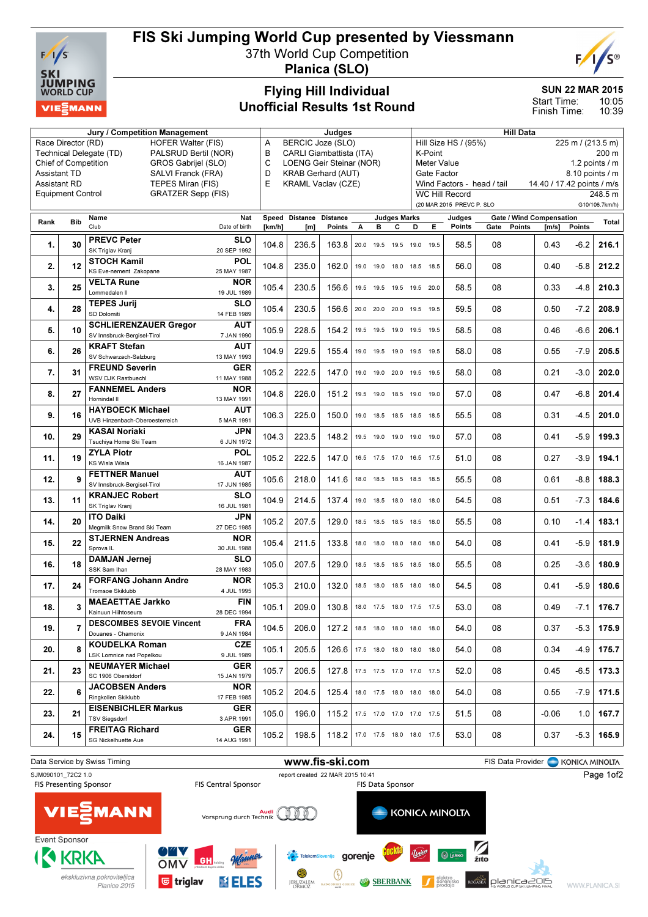

# FIS Ski Jumping World Cup presented by Viessmann

37th World Cup Competition

Planica (SLO)

### Flying Hill Individual Unofficial Results 1st Round

#### SUN 22 MAR 2015

E

10:05 10:39 Start Time: Finish Time:

| <b>Jury / Competition Management</b>               |     |                                                 |                           |        | Judges                             |                                |   |                |                     | <b>Hill Data</b>                             |                                           |      |                          |                            |        |                |  |
|----------------------------------------------------|-----|-------------------------------------------------|---------------------------|--------|------------------------------------|--------------------------------|---|----------------|---------------------|----------------------------------------------|-------------------------------------------|------|--------------------------|----------------------------|--------|----------------|--|
| <b>HOFER Walter (FIS)</b><br>Race Director (RD)    |     |                                                 |                           |        | <b>BERCIC Joze (SLO)</b><br>Α      |                                |   |                |                     |                                              | Hill Size HS / (95%)<br>225 m / (213.5 m) |      |                          |                            |        |                |  |
| Technical Delegate (TD)<br>PALSRUD Bertil (NOR)    |     |                                                 |                           |        | B<br>CARLI Giambattista (ITA)      |                                |   |                |                     | K-Point<br>200 m                             |                                           |      |                          |                            |        |                |  |
| <b>Chief of Competition</b><br>GROS Gabrijel (SLO) |     |                                                 |                           |        | C<br>LOENG Geir Steinar (NOR)<br>D |                                |   |                |                     | <b>Meter Value</b><br>1.2 points $\sqrt{}$ m |                                           |      |                          |                            |        |                |  |
| <b>Assistant TD</b><br>SALVI Franck (FRA)          |     |                                                 |                           |        | <b>KRAB Gerhard (AUT)</b>          |                                |   |                |                     |                                              | Gate Factor<br>8.10 points / m            |      |                          |                            |        |                |  |
| <b>Assistant RD</b>                                |     | TEPES Miran (FIS)                               |                           | E      | <b>KRAML Vaclav (CZE)</b>          |                                |   |                |                     |                                              | Wind Factors - head / tail                |      |                          | 14.40 / 17.42 points / m/s |        |                |  |
| <b>Equipment Control</b>                           |     | <b>GRATZER Sepp (FIS)</b>                       |                           |        |                                    |                                |   |                |                     |                                              | <b>WC Hill Record</b>                     |      |                          |                            |        | 248.5 m        |  |
|                                                    |     |                                                 |                           |        |                                    |                                |   |                |                     |                                              | (20 MAR 2015 PREVC P. SLO                 |      |                          |                            |        | G10/106.7km/h) |  |
|                                                    |     | Name                                            | Nat                       | Speed  | Distance                           | <b>Distance</b>                |   |                | <b>Judges Marks</b> |                                              | Judges                                    |      | Gate / Wind Compensation |                            |        |                |  |
| Rank                                               | Bib | Club                                            | Date of birth             | [km/h] | [m]                                | Points                         | A | в              | с                   | D                                            | Points<br>E.                              |      | Gate<br>Points           | [m/s]                      | Points | Total          |  |
| 1.                                                 | 30  | <b>PREVC Peter</b><br>SK Triglav Kranj          | <b>SLO</b><br>20 SEP 1992 | 104.8  | 236.5                              | 163.8                          |   |                |                     | 20.0 19.5 19.5 19.0 19.5                     |                                           | 58.5 | 08                       | 0.43                       | $-6.2$ | 216.1          |  |
| 2.                                                 | 12  | <b>STOCH Kamil</b>                              | <b>POL</b>                | 104.8  | 235.0                              | 162.0                          |   | 19.0 19.0      | 18.0                | 18.5 18.5                                    |                                           | 56.0 | 08                       | 0.40                       | $-5.8$ | 212.2          |  |
|                                                    |     | KS Eve-nement Zakopane                          | 25 MAY 1987               |        |                                    |                                |   |                |                     |                                              |                                           |      |                          |                            |        |                |  |
| 3.                                                 | 25  | <b>VELTA Rune</b>                               | <b>NOR</b>                | 105.4  | 230.5                              | 156.6                          |   |                |                     | 19.5 19.5 19.5 19.5 20.0                     |                                           | 58.5 | 08                       | 0.33                       | $-4.8$ | 210.3          |  |
|                                                    |     | Lommedalen II                                   | 19 JUL 1989               |        |                                    |                                |   |                |                     |                                              |                                           |      |                          |                            |        |                |  |
| 4.                                                 | 28  | <b>TEPES Jurij</b>                              | <b>SLO</b>                | 105.4  | 230.5                              | 156.6                          |   |                |                     | 20.0 20.0 20.0 19.5 19.5                     |                                           | 59.5 | 08                       | 0.50                       | $-7.2$ | 208.9          |  |
|                                                    |     | SD Dolomiti                                     | 14 FEB 1989               |        |                                    |                                |   |                |                     |                                              |                                           |      |                          |                            |        |                |  |
| 5.                                                 | 10  | <b>SCHLIERENZAUER Gregor</b>                    | <b>AUT</b>                | 105.9  | 228.5                              | 154.2                          |   |                |                     | 19.5 19.5 19.0 19.5 19.5                     |                                           | 58.5 | 08                       | 0.46                       | $-6.6$ | 206.1          |  |
|                                                    |     | SV Innsbruck-Bergisel-Tirol                     | 7 JAN 1990                |        |                                    |                                |   |                |                     |                                              |                                           |      |                          |                            |        |                |  |
| 6.                                                 | 26  | <b>KRAFT Stefan</b><br>SV Schwarzach-Salzburg   | <b>AUT</b><br>13 MAY 1993 | 104.9  | 229.5                              | 155.4                          |   | 19.0 19.5 19.0 |                     | 19.5 19.5                                    |                                           | 58.0 | 08                       | 0.55                       | $-7.9$ | 205.5          |  |
| 7.                                                 | 31  | <b>FREUND Severin</b><br>WSV DJK Rastbuechl     | <b>GER</b><br>11 MAY 1988 | 105.2  | 222.5                              | 147.0                          |   |                |                     | 19.0 19.0 20.0 19.5 19.5                     |                                           | 58.0 | 08                       | 0.21                       | $-3.0$ | 202.0          |  |
|                                                    |     | <b>FANNEMEL Anders</b>                          | <b>NOR</b>                |        |                                    |                                |   |                |                     |                                              |                                           |      |                          |                            |        |                |  |
| 8.                                                 | 27  | Hornindal II                                    | 13 MAY 1991               | 104.8  | 226.0                              | 151.2                          |   |                |                     | 19.5 19.0 18.5 19.0 19.0                     |                                           | 57.0 | 08                       | 0.47                       | $-6.8$ | 201.4          |  |
|                                                    |     | <b>HAYBOECK Michael</b>                         | AUT                       |        |                                    |                                |   |                |                     |                                              |                                           |      |                          |                            |        |                |  |
| 9.                                                 | 16  | UVB Hinzenbach-Oberoesterreich                  | 5 MAR 1991                | 106.3  | 225.0                              | 150.0                          |   |                |                     | 19.0 18.5 18.5 18.5 18.5                     |                                           | 55.5 | 08                       | 0.31                       | $-4.5$ | 201.0          |  |
|                                                    |     | <b>KASAI Noriaki</b>                            | JPN                       |        |                                    |                                |   |                |                     |                                              |                                           |      |                          |                            |        |                |  |
| 10.                                                | 29  |                                                 | 6 JUN 1972                | 104.3  | 223.5                              | 148.2                          |   | 19.5 19.0      | 19.0                | 19.0 19.0                                    |                                           | 57.0 | 08                       | 0.41                       | $-5.9$ | 199.3          |  |
|                                                    |     | Tsuchiya Home Ski Team                          |                           |        |                                    |                                |   |                |                     |                                              |                                           |      |                          |                            |        |                |  |
| 11.                                                | 19  | <b>ZYLA Piotr</b>                               | <b>POL</b>                | 105.2  | 222.5                              | 147.0                          |   |                |                     | 16.5 17.5 17.0 16.5 17.5                     |                                           | 51.0 | 08                       | 0.27                       | $-3.9$ | 194.1          |  |
|                                                    |     | KS Wisla Wisla                                  | 16 JAN 1987               |        |                                    |                                |   |                |                     |                                              |                                           |      |                          |                            |        |                |  |
| 12.                                                | 9   | <b>FETTNER Manuel</b>                           | <b>AUT</b>                | 105.6  | 218.0                              | 141.6                          |   |                |                     | 18.0 18.5 18.5 18.5 18.5                     |                                           | 55.5 | 08                       | 0.61                       | $-8.8$ | 188.3          |  |
|                                                    |     | SV Innsbruck-Bergisel-Tirol                     | 17 JUN 1985               |        |                                    |                                |   |                |                     |                                              |                                           |      |                          |                            |        |                |  |
| 13.                                                | 11  | <b>KRANJEC Robert</b>                           | <b>SLO</b>                | 104.9  | 214.5                              | 137.4                          |   |                |                     | 19.0 18.5 18.0 18.0 18.0                     |                                           | 54.5 | 08                       | 0.51                       | $-7.3$ | 184.6          |  |
|                                                    |     | SK Triglav Kranj                                | 16 JUL 1981               |        |                                    |                                |   |                |                     |                                              |                                           |      |                          |                            |        |                |  |
| 14.                                                | 20  | <b>ITO Daiki</b>                                | JPN                       | 105.2  | 207.5                              | 129.0                          |   |                |                     | 18.5 18.5 18.5 18.5 18.0                     |                                           | 55.5 | 08                       | 0.10                       | $-1.4$ | 183.1          |  |
|                                                    |     | Megmilk Snow Brand Ski Team                     | 27 DEC 1985               |        |                                    |                                |   |                |                     |                                              |                                           |      |                          |                            |        |                |  |
| 15.                                                | 22  | <b>STJERNEN Andreas</b>                         | <b>NOR</b>                | 105.4  | 211.5                              | 133.8                          |   | 18.0 18.0      |                     | 18.0 18.0 18.0                               |                                           | 54.0 | 08                       | 0.41                       | $-5.9$ | 181.9          |  |
|                                                    |     | Sprova IL                                       | 30 JUL 1988               |        |                                    |                                |   |                |                     |                                              |                                           |      |                          |                            |        |                |  |
| 16.                                                | 18  | <b>DAMJAN Jernei</b>                            | <b>SLO</b>                | 105.0  | 207.5                              | 129.0                          |   |                |                     | 18.5 18.5 18.5 18.5 18.0                     |                                           | 55.5 | 08                       | 0.25                       | $-3.6$ | 180.9          |  |
|                                                    |     | SSK Sam Ihan                                    | 28 MAY 1983               |        |                                    |                                |   |                |                     |                                              |                                           |      |                          |                            |        |                |  |
| 17.                                                | 24  | <b>FORFANG Johann Andre</b><br>Tromsoe Skiklubb | <b>NOR</b><br>4 JUL 1995  | 105.3  | 210.0                              | 132.0                          |   |                |                     | 18.5 18.0 18.5 18.0 18.0                     |                                           | 54.5 | 08                       | 0.41                       | $-5.9$ | 180.6          |  |
|                                                    |     | <b>MAEAETTAE Jarkko</b>                         | <b>FIN</b>                |        |                                    |                                |   |                |                     |                                              |                                           |      |                          |                            |        |                |  |
| 18.                                                | 3   | Kainuun Hiihtoseura                             | 28 DEC 1994               | 105.1  | 209.0                              | 130.8                          |   |                |                     | 18.0 17.5 18.0 17.5 17.5                     |                                           | 53.0 | 08                       | 0.49                       | $-7.1$ | 176.7          |  |
|                                                    |     | <b>DESCOMBES SEVOIE Vincent</b>                 | <b>FRA</b>                |        |                                    |                                |   |                |                     |                                              |                                           |      |                          |                            |        |                |  |
| 19.                                                | 7   | Douanes - Chamonix                              | 9 JAN 1984                | 104.5  | 206.0                              | 127.2                          |   |                |                     | 18.5 18.0 18.0 18.0 18.0                     |                                           | 54.0 | 08                       | 0.37                       | $-5.3$ | 175.9          |  |
|                                                    |     | <b>KOUDELKA Roman</b>                           | <b>CZE</b>                |        |                                    |                                |   |                |                     |                                              |                                           |      |                          |                            |        |                |  |
| 20.                                                | 8   | LSK Lomnice nad Popelkou                        | 9 JUL 1989                | 105.1  | 205.5                              | 126.6                          |   |                |                     | 17.5 18.0 18.0 18.0 18.0                     |                                           | 54.0 | 08                       | 0.34                       | -4.9   | 175.7          |  |
|                                                    |     | <b>NEUMAYER Michael</b>                         | GER                       |        |                                    |                                |   |                |                     |                                              |                                           |      |                          |                            |        |                |  |
| 21.                                                | 23  | SC 1906 Oberstdorf                              | 15 JAN 1979               | 105.7  | 206.5                              | 127.8                          |   |                |                     | 17.5 17.5 17.0 17.0 17.5                     |                                           | 52.0 | 08                       | 0.45                       | -6.5   | 173.3          |  |
|                                                    |     | <b>JACOBSEN Anders</b>                          | <b>NOR</b>                |        |                                    |                                |   |                |                     |                                              |                                           |      |                          |                            |        |                |  |
| 22.                                                | 6   | Ringkollen Skiklubb                             | 17 FEB 1985               | 105.2  | 204.5                              | 125.4                          |   |                |                     | 18.0 17.5 18.0 18.0 18.0                     |                                           | 54.0 | 08                       | 0.55                       | -7.9   | 171.5          |  |
|                                                    |     | <b>EISENBICHLER Markus</b>                      | <b>GER</b>                |        |                                    |                                |   |                |                     |                                              |                                           |      |                          |                            |        |                |  |
| 23.                                                | 21  | TSV Siegsdorf                                   | 3 APR 1991                | 105.0  | 196.0                              | 115.2                          |   |                |                     | 17.5 17.0 17.0 17.0 17.5                     |                                           | 51.5 | 08                       | $-0.06$                    | 1.0    | 167.7          |  |
|                                                    |     |                                                 |                           |        |                                    |                                |   |                |                     |                                              |                                           |      |                          |                            |        |                |  |
| 24.                                                | 15  | <b>FREITAG Richard</b>                          | GER                       | 105.2  | 198.5                              | 118.2 17.0 17.5 18.0 18.0 17.5 |   |                |                     |                                              |                                           | 53.0 | 08                       | 0.37                       | $-5.3$ | 165.9          |  |
|                                                    |     | SG Nickelhuette Aue                             | 14 AUG 1991               |        |                                    |                                |   |                |                     |                                              |                                           |      |                          |                            |        |                |  |
|                                                    |     |                                                 |                           |        |                                    |                                |   |                |                     |                                              |                                           |      |                          |                            |        |                |  |